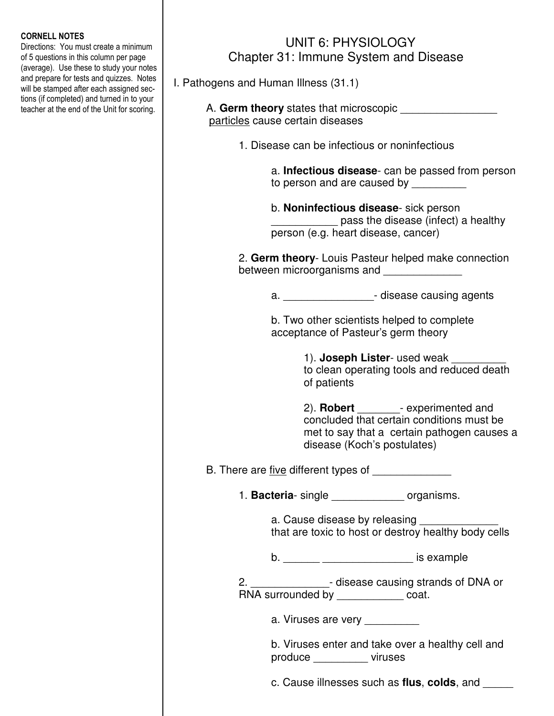## CORNELL NOTES

Directions: You must create a minimum of 5 questions in this column per page (average). Use these to study your notes and prepare for tests and quizzes. Notes will be stamped after each assigned sections (if completed) and turned in to your teacher at the end of the Unit for scoring.

## UNIT 6: PHYSIOLOGY Chapter 31: Immune System and Disease

I. Pathogens and Human Illness (31.1)

| A. Germ theory states that microscopic |  |
|----------------------------------------|--|
| particles cause certain diseases       |  |

1. Disease can be infectious or noninfectious

 a. **Infectious disease**- can be passed from person to person and are caused by

b. **Noninfectious disease**- sick person \_\_\_\_\_\_\_\_\_\_\_ pass the disease (infect) a healthy person (e.g. heart disease, cancer)

 2. **Germ theory**- Louis Pasteur helped make connection between microorganisms and

a. **Example 2** disease causing agents

 b. Two other scientists helped to complete acceptance of Pasteur's germ theory

> 1). **Joseph Lister**- used weak to clean operating tools and reduced death of patients

 2). **Robert** \_\_\_\_\_\_\_- experimented and concluded that certain conditions must be met to say that a certain pathogen causes a disease (Koch's postulates)

B. There are five different types of

1. **Bacteria**- single \_\_\_\_\_\_\_\_\_\_\_\_ organisms.

a. Cause disease by releasing that are toxic to host or destroy healthy body cells

b. \_\_\_\_\_\_ \_\_\_\_\_\_\_\_\_\_\_\_\_\_\_ is example

 2. \_\_\_\_\_\_\_\_\_\_\_\_\_- disease causing strands of DNA or RNA surrounded by \_\_\_\_\_\_\_\_\_\_\_\_\_\_ coat.

a. Viruses are very \_\_\_\_\_\_\_\_\_\_

 b. Viruses enter and take over a healthy cell and produce \_\_\_\_\_\_\_\_\_ viruses

c. Cause illnesses such as **flus**, **colds**, and \_\_\_\_\_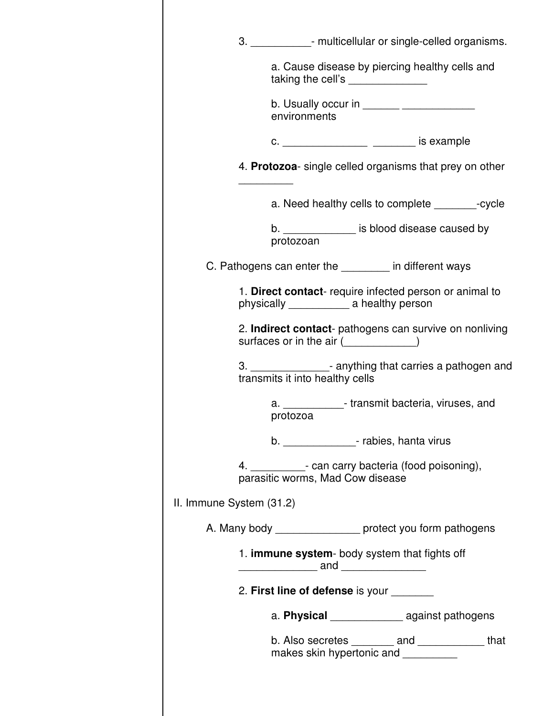|                                                                                                 | 3. _______________- multicellular or single-celled organisms.                                            |  |
|-------------------------------------------------------------------------------------------------|----------------------------------------------------------------------------------------------------------|--|
|                                                                                                 | a. Cause disease by piercing healthy cells and<br>taking the cell's _______________                      |  |
|                                                                                                 | environments                                                                                             |  |
|                                                                                                 | c. _____________________ ________ is example                                                             |  |
|                                                                                                 | 4. Protozoa- single celled organisms that prey on other                                                  |  |
|                                                                                                 | a. Need healthy cells to complete example to revole                                                      |  |
|                                                                                                 | b. ________________ is blood disease caused by<br>protozoan                                              |  |
|                                                                                                 | C. Pathogens can enter the _______ in different ways                                                     |  |
|                                                                                                 | 1. Direct contact- require infected person or animal to                                                  |  |
|                                                                                                 | 2. Indirect contact- pathogens can survive on nonliving<br>surfaces or in the air ( <i>witterstall</i> ) |  |
|                                                                                                 | 3. _________________- anything that carries a pathogen and<br>transmits it into healthy cells            |  |
|                                                                                                 | a. The transmit bacteria, viruses, and<br>protozoa                                                       |  |
|                                                                                                 | b. ________________- rabies, hanta virus                                                                 |  |
|                                                                                                 | 4. ____________- can carry bacteria (food poisoning),<br>parasitic worms, Mad Cow disease                |  |
| II. Immune System (31.2)                                                                        |                                                                                                          |  |
|                                                                                                 | A. Many body __________________ protect you form pathogens                                               |  |
| 1. immune system- body system that fights off<br><u>_________________</u> and _________________ |                                                                                                          |  |
| 2. First line of defense is your                                                                |                                                                                                          |  |
|                                                                                                 | a. Physical ________________ against pathogens                                                           |  |
|                                                                                                 | b. Also secretes ________ and ____________ that<br>makes skin hypertonic and _________                   |  |
|                                                                                                 |                                                                                                          |  |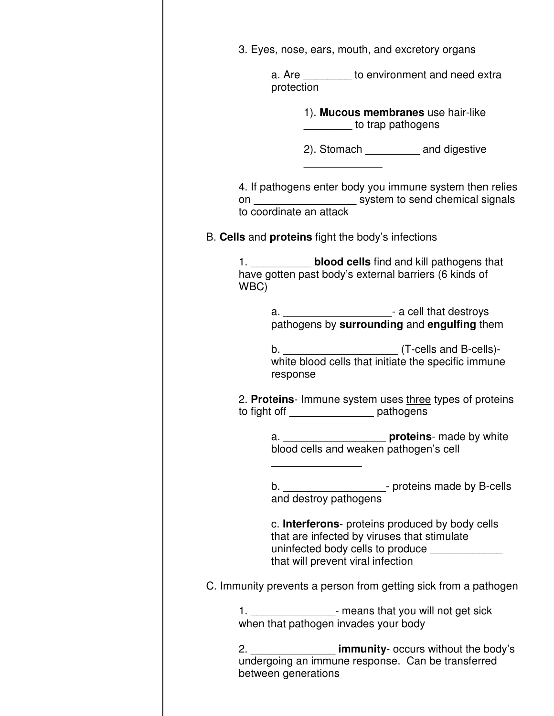|      | 3. Eyes, nose, ears, mouth, and excretory organs                                                                                                                                      |                   |                                         |  |
|------|---------------------------------------------------------------------------------------------------------------------------------------------------------------------------------------|-------------------|-----------------------------------------|--|
|      | a. Are ________ to environment and need extra<br>protection                                                                                                                           |                   |                                         |  |
|      |                                                                                                                                                                                       | to trap pathogens | 1). Mucous membranes use hair-like      |  |
|      |                                                                                                                                                                                       |                   | 2). Stomach _____________ and digestive |  |
|      | 4. If pathogens enter body you immune system then relies<br>on ________________________ system to send chemical signals<br>to coordinate an attack                                    |                   |                                         |  |
|      | B. Cells and proteins fight the body's infections                                                                                                                                     |                   |                                         |  |
| WBC) | 1. <b>blood cells</b> find and kill pathogens that<br>have gotten past body's external barriers (6 kinds of                                                                           |                   |                                         |  |
|      | a. _______________________________- a cell that destroys<br>pathogens by surrounding and engulfing them                                                                               |                   |                                         |  |
|      | white blood cells that initiate the specific immune<br>response                                                                                                                       |                   |                                         |  |
|      | 2. Proteins- Immune system uses three types of proteins<br>to fight off __________________ pathogens                                                                                  |                   |                                         |  |
|      |                                                                                                                                                                                       |                   |                                         |  |
|      | b. ___________________________- proteins made by B-cells<br>and destroy pathogens                                                                                                     |                   |                                         |  |
|      | c. Interferons- proteins produced by body cells<br>that are infected by viruses that stimulate<br>uninfected body cells to produce _____________<br>that will prevent viral infection |                   |                                         |  |
|      | C. Immunity prevents a person from getting sick from a pathogen                                                                                                                       |                   |                                         |  |
|      | 1. __________________- means that you will not get sick<br>when that pathogen invades your body                                                                                       |                   |                                         |  |
|      | 2. ______________________ immunity- occurs without the body's<br>undergoing an immune response. Can be transferred<br>between generations                                             |                   |                                         |  |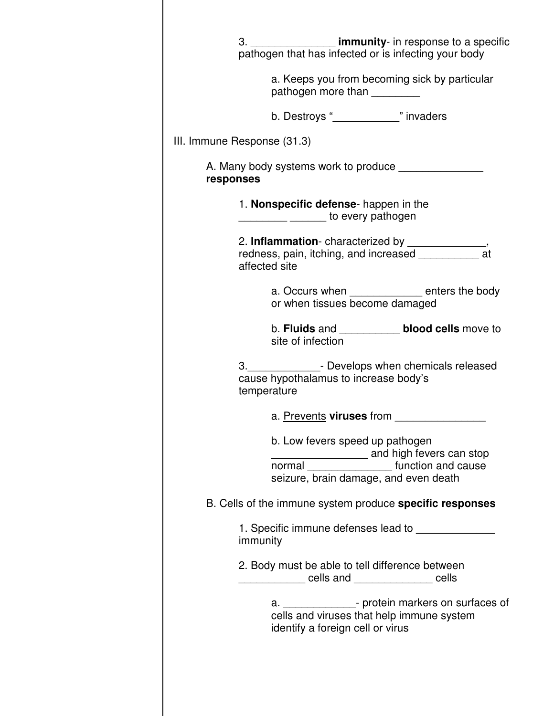|           |                                                      |                                                                               | 3. ______________________ immunity- in response to a specific<br>pathogen that has infected or is infecting your body                                                                                                                |
|-----------|------------------------------------------------------|-------------------------------------------------------------------------------|--------------------------------------------------------------------------------------------------------------------------------------------------------------------------------------------------------------------------------------|
|           |                                                      | pathogen more than _________                                                  | a. Keeps you from becoming sick by particular                                                                                                                                                                                        |
|           |                                                      | b. Destroys "______________" invaders                                         |                                                                                                                                                                                                                                      |
|           | III. Immune Response (31.3)                          |                                                                               |                                                                                                                                                                                                                                      |
| responses |                                                      |                                                                               | A. Many body systems work to produce                                                                                                                                                                                                 |
|           | 1. Nonspecific defense- happen in the                | to every pathogen                                                             |                                                                                                                                                                                                                                      |
|           | affected site                                        |                                                                               | 2. Inflammation-characterized by _________________,<br>redness, pain, itching, and increased _____________ at                                                                                                                        |
|           |                                                      | or when tissues become damaged                                                | a. Occurs when _____________ enters the body                                                                                                                                                                                         |
|           | site of infection                                    |                                                                               | b. Fluids and _____________ blood cells move to                                                                                                                                                                                      |
|           | cause hypothalamus to increase body's<br>temperature |                                                                               | 3. Covelops when chemicals released                                                                                                                                                                                                  |
|           |                                                      | a. Prevents viruses from                                                      |                                                                                                                                                                                                                                      |
|           | normal                                               | b. Low fevers speed up pathogen                                               | and high fevers can stop<br>_____________ function and cause<br>seizure, brain damage, and even death                                                                                                                                |
|           |                                                      |                                                                               | B. Cells of the immune system produce specific responses                                                                                                                                                                             |
|           | immunity                                             |                                                                               | 1. Specific immune defenses lead to <b>contract the set of the set of the set of the set of the set of the set of the set of the set of the set of the set of the set of the set of the set of the set of the set of the set of </b> |
|           |                                                      |                                                                               | 2. Body must be able to tell difference between<br>cells and _________ cells and _____________ cells                                                                                                                                 |
|           |                                                      |                                                                               | a. ________________- protein markers on surfaces of                                                                                                                                                                                  |
|           |                                                      | cells and viruses that help immune system<br>identify a foreign cell or virus |                                                                                                                                                                                                                                      |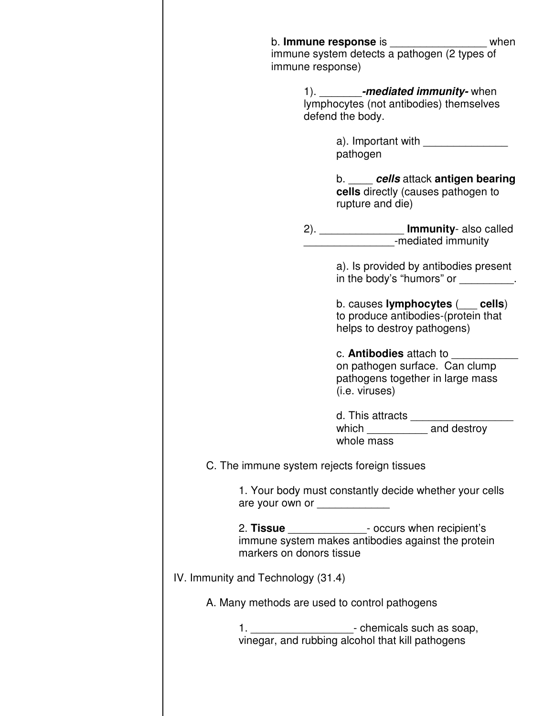| immune response)                              | b. <b>Immune response</b> is<br>when<br>immune system detects a pathogen (2 types of                                   |
|-----------------------------------------------|------------------------------------------------------------------------------------------------------------------------|
|                                               | 1). _________-mediated immunity-when<br>lymphocytes (not antibodies) themselves<br>defend the body.                    |
|                                               | a). Important with<br>pathogen                                                                                         |
|                                               | b. cells attack antigen bearing<br>cells directly (causes pathogen to<br>rupture and die)                              |
|                                               | 2). ____________________ <b>Immunity</b> - also called<br>____________________-mediated immunity                       |
|                                               | a). Is provided by antibodies present<br>in the body's "humors" or _________.                                          |
|                                               | b. causes lymphocytes $($ cells)<br>to produce antibodies-(protein that<br>helps to destroy pathogens)                 |
|                                               | c. <b>Antibodies</b> attach to<br>on pathogen surface. Can clump<br>pathogens together in large mass<br>(i.e. viruses) |
|                                               | d. This attracts<br>which _______________ and destroy<br>whole mass                                                    |
| C. The immune system rejects foreign tissues  |                                                                                                                        |
|                                               | 1. Your body must constantly decide whether your cells                                                                 |
| markers on donors tissue                      | 2. Tissue ________________- occurs when recipient's<br>immune system makes antibodies against the protein              |
| IV. Immunity and Technology (31.4)            |                                                                                                                        |
| A. Many methods are used to control pathogens |                                                                                                                        |
|                                               | 1. _______________________- chemicals such as soap,<br>vinegar, and rubbing alcohol that kill pathogens                |
|                                               |                                                                                                                        |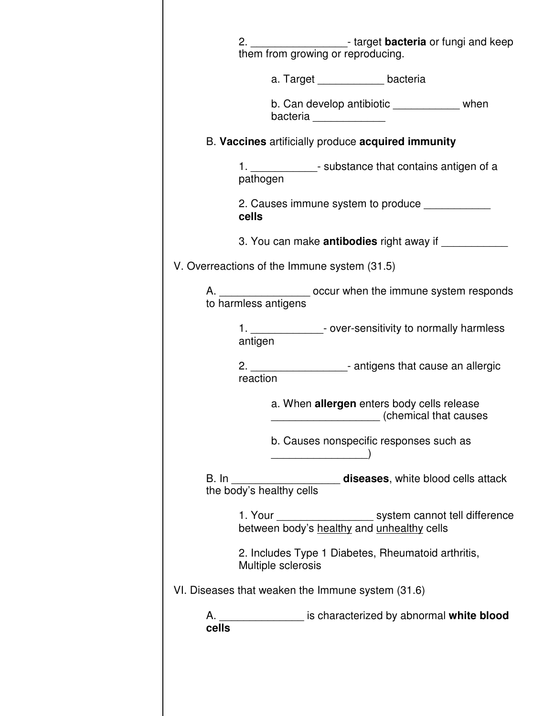|       | 2. ______________________- target bacteria or fungi and keep<br>them from growing or reproducing.                                                                                                                                                                               |
|-------|---------------------------------------------------------------------------------------------------------------------------------------------------------------------------------------------------------------------------------------------------------------------------------|
|       | a. Target ______________ bacteria                                                                                                                                                                                                                                               |
|       | b. Can develop antibiotic ______________ when<br>bacteria en el partido de la partida de la partida de la partida de la partida de la partida de la partida de<br>Del partida de la partida de la partida de la partida de la partida de la partida de la partida de la partida |
|       | B. Vaccines artificially produce acquired immunity                                                                                                                                                                                                                              |
|       | 1. _______________- substance that contains antigen of a<br>pathogen                                                                                                                                                                                                            |
|       | 2. Causes immune system to produce<br>cells                                                                                                                                                                                                                                     |
|       |                                                                                                                                                                                                                                                                                 |
|       | V. Overreactions of the Immune system (31.5)                                                                                                                                                                                                                                    |
| A.    | occur when the immune system responds<br>to harmless antigens                                                                                                                                                                                                                   |
|       | 1. ________________- over-sensitivity to normally harmless<br>antigen                                                                                                                                                                                                           |
|       | 2. _____________________- antigens that cause an allergic<br>reaction                                                                                                                                                                                                           |
|       | a. When allergen enters body cells release<br>(chemical that causes                                                                                                                                                                                                             |
|       | b. Causes nonspecific responses such as                                                                                                                                                                                                                                         |
|       |                                                                                                                                                                                                                                                                                 |
|       | 1. Your _______________________ system cannot tell difference<br>between body's healthy and unhealthy cells                                                                                                                                                                     |
|       | 2. Includes Type 1 Diabetes, Rheumatoid arthritis,<br>Multiple sclerosis                                                                                                                                                                                                        |
|       | VI. Diseases that weaken the Immune system (31.6)                                                                                                                                                                                                                               |
| cells | A. ___________________ is characterized by abnormal white blood                                                                                                                                                                                                                 |
|       |                                                                                                                                                                                                                                                                                 |